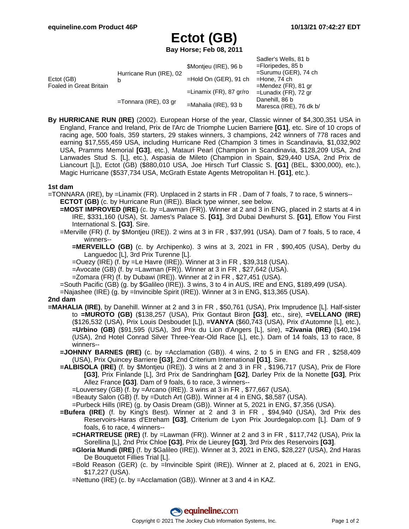Sadler's Wells, 81 b

## **Ectot (GB)**

**Bay Horse; Feb 08, 2011**

| Ectot (GB)<br>Foaled in Great Britain | Hurricane Run (IRE), 02  | \$Montjeu (IRE), 96 b      | <b>Saulel S VVells, OI D</b><br>$=$ Floripedes, 85 b<br>$=$ Surumu (GER), 74 ch |
|---------------------------------------|--------------------------|----------------------------|---------------------------------------------------------------------------------|
|                                       |                          | $=$ Hold On (GER), 91 ch   | $=$ Hone, 74 ch                                                                 |
|                                       |                          | $=$ Linamix (FR), 87 gr/ro | $=$ Mendez (FR), 81 gr<br>$=$ Lunadix (FR), 72 gr                               |
|                                       | $=$ Tonnara (IRE), 03 gr | $=$ Mahalia (IRE), 93 b    | Danehill, 86 b<br>Maresca (IRE), 76 dk b/                                       |

**By HURRICANE RUN (IRE)** (2002). European Horse of the year, Classic winner of \$4,300,351 USA in England, France and Ireland, Prix de l'Arc de Triomphe Lucien Barriere **[G1]**, etc. Sire of 10 crops of racing age, 500 foals, 359 starters, 29 stakes winners, 3 champions, 242 winners of 778 races and earning \$17,555,459 USA, including Hurricane Red (Champion 3 times in Scandinavia, \$1,032,902 USA, Pramms Memorial **[G3]**, etc.), Matauri Pearl (Champion in Scandinavia, \$128,209 USA, 2nd Lanwades Stud S. [L], etc.), Aspasia de Mileto (Champion in Spain, \$29,440 USA, 2nd Prix de Liancourt [L]), Ectot (GB) (\$880,010 USA, Joe Hirsch Turf Classic S. **[G1]** (BEL, \$300,000), etc.), Magic Hurricane (\$537,734 USA, McGrath Estate Agents Metropolitan H. **[G1]**, etc.).

## **1st dam**

- =TONNARA (IRE), by =Linamix (FR). Unplaced in 2 starts in FR . Dam of 7 foals, 7 to race, 5 winners-- **ECTOT (GB)** (c. by Hurricane Run (IRE)). Black type winner, see below.
	- **=MOST IMPROVED (IRE)** (c. by =Lawman (FR)). Winner at 2 and 3 in ENG, placed in 2 starts at 4 in IRE, \$331,160 (USA), St. James's Palace S. **[G1]**, 3rd Dubai Dewhurst S. **[G1]**, Eflow You First International S. **[G3]**. Sire.
	- =Merville (FR) (f. by \$Montjeu (IRE)). 2 wins at 3 in FR , \$37,991 (USA). Dam of 7 foals, 5 to race, 4 winners--
		- **=MERVEILLO (GB)** (c. by Archipenko). 3 wins at 3, 2021 in FR , \$90,405 (USA), Derby du Languedoc [L], 3rd Prix Turenne [L].
		- $=$ Ouezy (IRE) (f. by  $=$ Le Havre (IRE)). Winner at 3 in FR, \$39,318 (USA).
		- $=$  Avocate (GB) (f. by  $=$  Lawman (FR)). Winner at 3 in FR, \$27,642 (USA).
		- =Zomara (FR) (f. by Dubawi (IRE)). Winner at 2 in FR , \$27,451 (USA).
	- =South Pacific (GB) (g. by \$Galileo (IRE)). 3 wins, 3 to 4 in AUS, IRE and ENG, \$189,499 (USA).
	- =Najashee (IRE) (g. by =Invincible Spirit (IRE)). Winner at 3 in ENG, \$13,365 (USA).

## **2nd dam**

- **=MAHALIA (IRE)**, by Danehill. Winner at 2 and 3 in FR , \$50,761 (USA), Prix Imprudence [L]. Half-sister to **=MUROTO (GB)** (\$138,257 (USA), Prix Gontaut Biron **[G3]**, etc., sire), **=VELLANO (IRE)** (\$126,532 (USA), Prix Louis Desboudet [L]), **=VANYA** (\$60,743 (USA), Prix d'Automne [L], etc.), **=Urbino (GB)** (\$91,595 (USA), 3rd Prix du Lion d'Angers [L], sire), **=Zivania (IRE)** (\$40,194 (USA), 2nd Hotel Conrad Silver Three-Year-Old Race [L], etc.). Dam of 14 foals, 13 to race, 8 winners--
	- **=JOHNNY BARNES (IRE)** (c. by =Acclamation (GB)). 4 wins, 2 to 5 in ENG and FR , \$258,409 (USA), Prix Quincey Barriere **[G3]**, 2nd Criterium International **[G1]**. Sire.
	- **=ALBISOLA (IRE)** (f. by \$Montjeu (IRE)). 3 wins at 2 and 3 in FR , \$196,717 (USA), Prix de Flore **[G3]**, Prix Finlande [L], 3rd Prix de Sandringham **[G2]**, Darley Prix de la Nonette **[G3]**, Prix Allez France **[G3]**. Dam of 9 foals, 6 to race, 3 winners--
		- =Louversey (GB) (f. by =Arcano (IRE)). 3 wins at 3 in FR , \$77,667 (USA).

=Beauty Salon (GB) (f. by =Dutch Art (GB)). Winner at 4 in ENG, \$8,587 (USA).

=Purbeck Hills (IRE) (g. by Oasis Dream (GB)). Winner at 5, 2021 in ENG, \$7,356 (USA).

- **=Bufera (IRE)** (f. by King's Best). Winner at 2 and 3 in FR , \$94,940 (USA), 3rd Prix des Reservoirs-Haras d'Etreham **[G3]**, Criterium de Lyon Prix Jourdegalop.com [L]. Dam of 9 foals, 6 to race, 4 winners--
	- **=CHARTREUSE (IRE)** (f. by =Lawman (FR)). Winner at 2 and 3 in FR , \$117,742 (USA), Prix la Sorellina [L], 2nd Prix Chloe **[G3]**, Prix de Lieurey **[G3]**, 3rd Prix des Reservoirs **[G3]**.
	- **=Gloria Mundi (IRE)** (f. by \$Galileo (IRE)). Winner at 3, 2021 in ENG, \$28,227 (USA), 2nd Haras De Bouquetot Fillies Trial [L].
	- =Bold Reason (GER) (c. by =Invincible Spirit (IRE)). Winner at 2, placed at 6, 2021 in ENG, \$17,227 (USA).
	- =Nettuno (IRE) (c. by =Acclamation (GB)). Winner at 3 and 4 in KAZ.